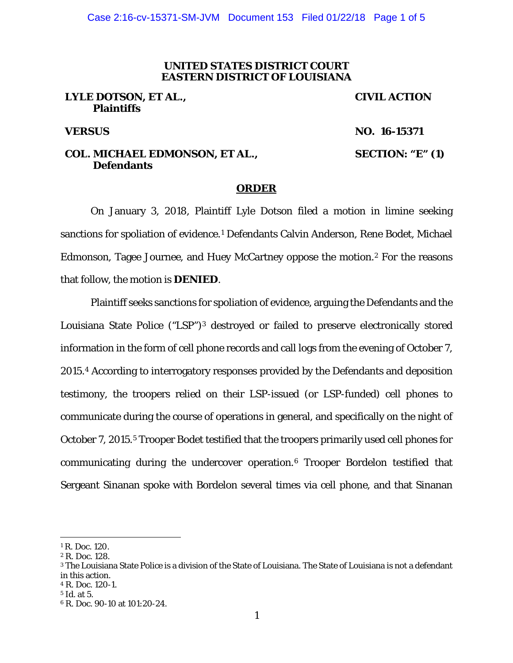## **UNITED STATES DISTRICT COURT EASTERN DISTRICT OF LOUISIANA**

## **LYLE DOTSON, ET AL., Plaintiffs**

# **CIVIL ACTION**

**VERSUS NO. 16-15371**

## **COL. MICHAEL EDMONSON, ET AL., Defendants**

**SECTION: "E" (1)**

#### **ORDER**

On January 3, 2018, Plaintiff Lyle Dotson filed a motion in limine seeking sanctions for spoliation of evidence.<sup>1</sup> Defendants Calvin Anderson, Rene Bodet, Michael Edmonson, Tagee Journee, and Huey McCartney oppose the motion.2 For the reasons that follow, the motion is **DENIED**.

Plaintiff seeks sanctions for spoliation of evidence, arguing the Defendants and the Louisiana State Police ("LSP")3 destroyed or failed to preserve electronically stored information in the form of cell phone records and call logs from the evening of October 7, 2015.4 According to interrogatory responses provided by the Defendants and deposition testimony, the troopers relied on their LSP-issued (or LSP-funded) cell phones to communicate during the course of operations in general, and specifically on the night of October 7, 2015.5 Trooper Bodet testified that the troopers primarily used cell phones for communicating during the undercover operation.6 Trooper Bordelon testified that Sergeant Sinanan spoke with Bordelon several times via cell phone, and that Sinanan

 $\overline{a}$ 

<sup>&</sup>lt;sup>1</sup> R. Doc. 120.

<sup>2</sup> R. Doc. 128.

<sup>3</sup> The Louisiana State Police is a division of the State of Louisiana. The State of Louisiana is not a defendant in this action.

<sup>4</sup> R. Doc. 120-1.

<sup>5</sup> *Id*. at 5.

<sup>6</sup> R. Doc. 90-10 at 101:20-24.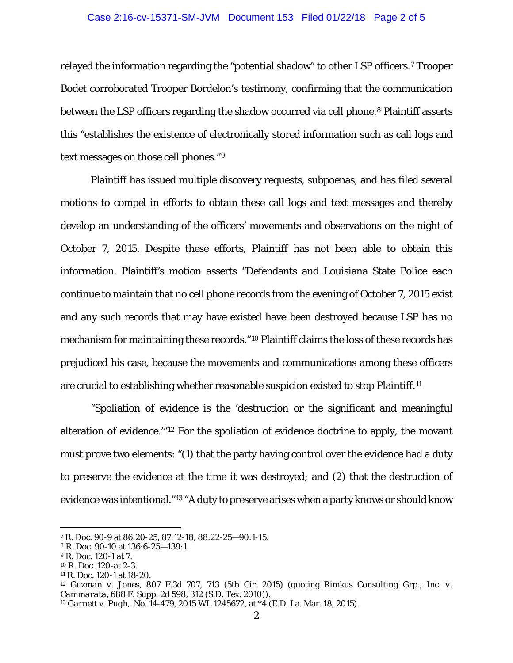### Case 2:16-cv-15371-SM-JVM Document 153 Filed 01/22/18 Page 2 of 5

relayed the information regarding the "potential shadow" to other LSP officers.7 Trooper Bodet corroborated Trooper Bordelon's testimony, confirming that the communication between the LSP officers regarding the shadow occurred via cell phone.<sup>8</sup> Plaintiff asserts this "establishes the existence of electronically stored information such as call logs and text messages on those cell phones."9

Plaintiff has issued multiple discovery requests, subpoenas, and has filed several motions to compel in efforts to obtain these call logs and text messages and thereby develop an understanding of the officers' movements and observations on the night of October 7, 2015. Despite these efforts, Plaintiff has not been able to obtain this information. Plaintiff's motion asserts "Defendants and Louisiana State Police each continue to maintain that no cell phone records from the evening of October 7, 2015 exist and any such records that may have existed have been destroyed because LSP has no mechanism for maintaining these records."10 Plaintiff claims the loss of these records has prejudiced his case, because the movements and communications among these officers are crucial to establishing whether reasonable suspicion existed to stop Plaintiff.11

"Spoliation of evidence is the 'destruction or the significant and meaningful alteration of evidence.'"12 For the spoliation of evidence doctrine to apply, the movant must prove two elements: "(1) that the party having control over the evidence had a duty to preserve the evidence at the time it was destroyed; and (2) that the destruction of evidence was intentional."13 "A duty to preserve arises when a party knows or should know

I

<sup>7</sup> R. Doc. 90-9 at 86:20-25, 87:12-18, 88:22-25—90:1-15.

<sup>8</sup> R. Doc. 90-10 at 136:6-25—139:1.

<sup>9</sup> R. Doc. 120-1 at 7.

<sup>10</sup> R. Doc. 120-at 2-3.

<sup>11</sup> R. Doc. 120-1 at 18-20.

<sup>12</sup> *Guzman v. Jones*, 807 F.3d 707, 713 (5th Cir. 2015) (quoting *Rimkus Consulting Grp., Inc. v. Cammarata*, 688 F. Supp. 2d 598, 312 (S.D. Tex. 2010)).

<sup>13</sup> *Garnett v. Pugh*, No. 14-479, 2015 WL 1245672, at \*4 (E.D. La. Mar. 18, 2015).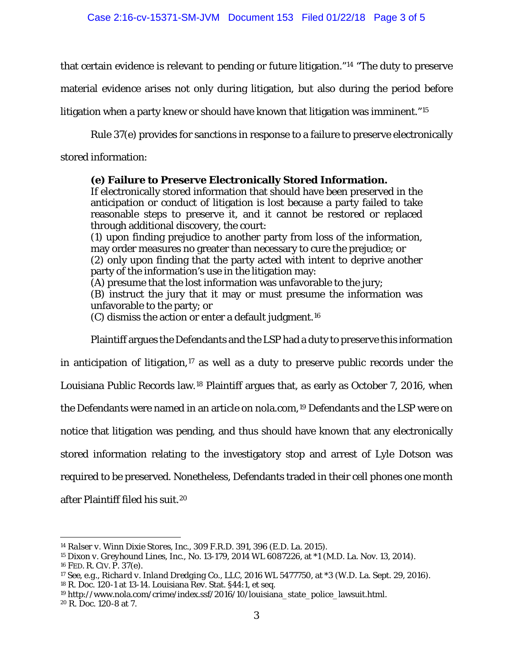that certain evidence is relevant to pending or future litigation."14 "The duty to preserve

material evidence arises not only during litigation, but also during the period before

litigation when a party knew or should have known that litigation was imminent."15

Rule 37(e) provides for sanctions in response to a failure to preserve electronically

stored information:

# **(e) Failure to Preserve Electronically Stored Information.**

If electronically stored information that should have been preserved in the anticipation or conduct of litigation is lost because a party failed to take reasonable steps to preserve it, and it cannot be restored or replaced through additional discovery, the court:

(1) upon finding prejudice to another party from loss of the information, may order measures no greater than necessary to cure the prejudice; or (2) only upon finding that the party acted with intent to deprive another party of the information's use in the litigation may:

(A) presume that the lost information was unfavorable to the jury;

(B) instruct the jury that it may or must presume the information was unfavorable to the party; or

(C) dismiss the action or enter a default judgment.16

Plaintiff argues the Defendants and the LSP had a duty to preserve this information

in anticipation of litigation, $17$  as well as a duty to preserve public records under the

Louisiana Public Records law.18 Plaintiff argues that, as early as October 7, 2016, when

the Defendants were named in an article on nola.com,<sup>19</sup> Defendants and the LSP were on

notice that litigation was pending, and thus should have known that any electronically

stored information relating to the investigatory stop and arrest of Lyle Dotson was

required to be preserved. Nonetheless, Defendants traded in their cell phones one month

after Plaintiff filed his suit.20

 $\overline{a}$ <sup>14</sup> *Ralser v. Winn Dixie Stores, Inc*., 309 F.R.D. 391, 396 (E.D. La. 2015).

<sup>15</sup> *Dixon v. Greyhound Lines, Inc.*, No. 13-179, 2014 WL 6087226, at \*1 (M.D. La. Nov. 13, 2014). 16 FED. R. CIV. P. 37(e).

<sup>17</sup> *See, e.g.*, *Richard v. Inland Dredging Co., LLC*, 2016 WL 5477750, at \*3 (W.D. La. Sept. 29, 2016). <sup>18</sup> R. Doc. 120-1 at 13-14. Louisiana Rev. Stat. §44:1, et seq.

<sup>&</sup>lt;sup>19</sup> http://www.nola.com/crime/index.ssf/2016/10/louisiana\_state\_police\_lawsuit.html. <sup>20</sup> R. Doc. 120-8 at 7.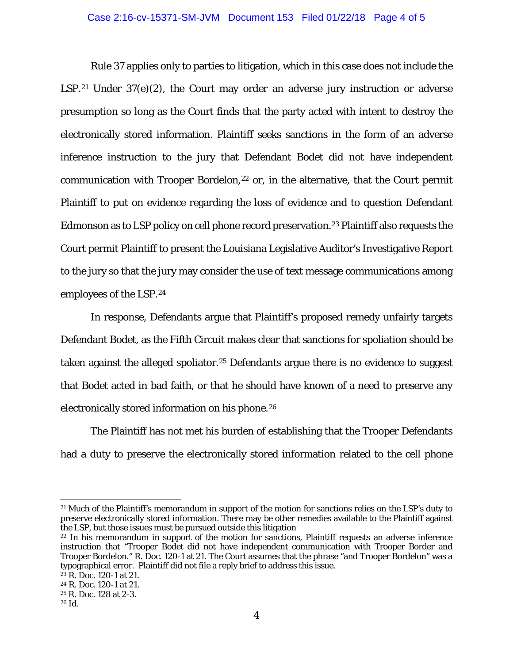### Case 2:16-cv-15371-SM-JVM Document 153 Filed 01/22/18 Page 4 of 5

Rule 37 applies only to parties to litigation, which in this case does not include the LSP.<sup>21</sup> Under  $37(e)(2)$ , the Court may order an adverse jury instruction or adverse presumption so long as the Court finds that the party acted with intent to destroy the electronically stored information. Plaintiff seeks sanctions in the form of an adverse inference instruction to the jury that Defendant Bodet did not have independent communication with Trooper Bordelon,<sup>22</sup> or, in the alternative, that the Court permit Plaintiff to put on evidence regarding the loss of evidence and to question Defendant Edmonson as to LSP policy on cell phone record preservation.<sup>23</sup> Plaintiff also requests the Court permit Plaintiff to present the Louisiana Legislative Auditor's Investigative Report to the jury so that the jury may consider the use of text message communications among employees of the LSP.24

In response, Defendants argue that Plaintiff's proposed remedy unfairly targets Defendant Bodet, as the Fifth Circuit makes clear that sanctions for spoliation should be taken against the alleged spoliator.<sup>25</sup> Defendants argue there is no evidence to suggest that Bodet acted in bad faith, or that he should have known of a need to preserve any electronically stored information on his phone.26

The Plaintiff has not met his burden of establishing that the Trooper Defendants had a duty to preserve the electronically stored information related to the cell phone

I  $^{21}$  Much of the Plaintiff's memorandum in support of the motion for sanctions relies on the LSP's duty to preserve electronically stored information. There may be other remedies available to the Plaintiff against the LSP, but those issues must be pursued outside this litigation

<sup>&</sup>lt;sup>22</sup> In his memorandum in support of the motion for sanctions, Plaintiff requests an adverse inference instruction that "Trooper Bodet did not have independent communication with Trooper Border and Trooper Bordelon." R. Doc. 120-1 at 21. The Court assumes that the phrase "and Trooper Bordelon" was a typographical error. Plaintiff did not file a reply brief to address this issue.

 $23$  R. Doc. 120-1 at 21.

<sup>24</sup> R. Doc. 120-1 at 21.

<sup>25</sup> R. Doc. 128 at 2-3.

<sup>26</sup> *Id*.